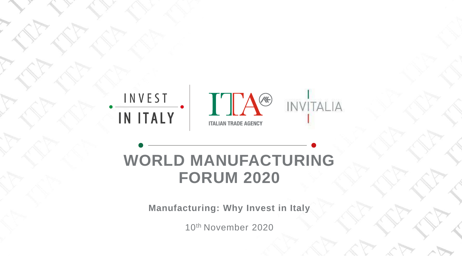



### THE POWERPOINT PRESENTATION CONTINUES. **WORLD MANUFACTURING FORUM 2020**

**Manufacturing: Why Invest in Italy**

10th November 2020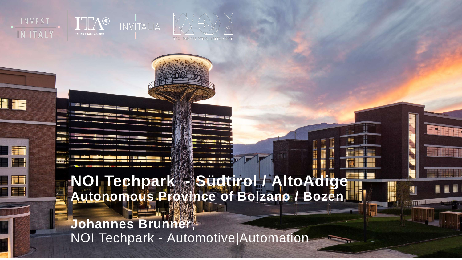



INVEST **IN ITALY** 





**Johannes Brunner**, NOI Techpark - Automotive|Automation

**ATHLETIN**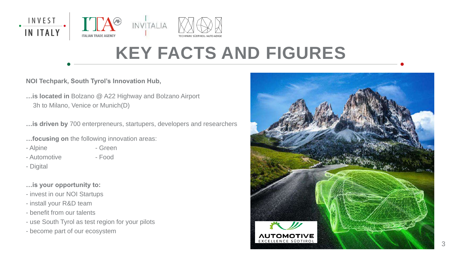**NOI Techpark, South Tyrol's Innovation Hub,**

**…is located in** Bolzano @ A22 Highway and Bolzano Airport 3h to Milano, Venice or Munich(D)

**…is driven by** 700 enterpreneurs, startupers, developers and researchers

- **…focusing on** the following innovation areas:
- Alpine Green
	-
- Automotive Food
- Digital
- **…is your opportunity to:**
- invest in our NOI Startups
- install your R&D team
- benefit from our talents
- use South Tyrol as test region for your pilots
- become part of our ecosystem





## **KEY FACTS AND FIGURES**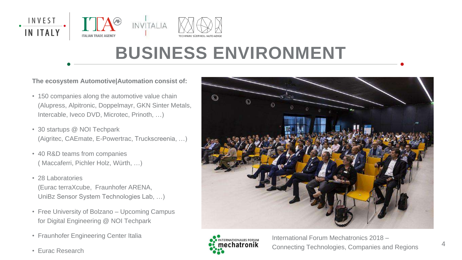**The ecosystem Automotive|Automation consist of:** 

- 150 companies along the automotive value chain (Alupress, Alpitronic, Doppelmayr, GKN Sinter Metals, Intercable, Iveco DVD, Microtec, Prinoth, …)
- 30 startups @ NOI Techpark (Aigritec, CAEmate, E-Powertrac, Truckscreenia, …)
- 40 R&D teams from companies ( Maccaferri, Pichler Holz, Würth, …)
- 28 Laboratories (Eurac terraXcube, Fraunhofer ARENA, UniBz Sensor System Technologies Lab, …)
- Free University of Bolzano Upcoming Campus for Digital Engineering @ NOI Techpark
- Fraunhofer Engineering Center Italia
- Eurac Research







### **BUSINESS ENVIRONMENT**

International Forum Mechatronics 2018 – Connecting Technologies, Companies and Regions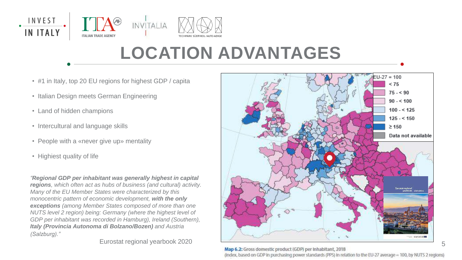- #1 in Italy, top 20 EU regions for highest GDP / capita
- Italian Design meets German Engineering
- Land of hidden champions
- Intercultural and language skills
- People with a «never give up» mentality
- Highiest quality of life

5



## **LOCATION ADVANTAGES**

*"Regional GDP per inhabitant was generally highest in capital regions, which often act as hubs of business (and cultural) activity. Many of the EU Member States were characterized by this monocentric pattern of economic development, with the only exceptions (among Member States composed of more than one NUTS level 2 region) being: Germany (where the highest level of*  GDP per inhabitant was recorded in Hamburg), Ireland (Southern), *Italy (Provincia Autonoma di Bolzano/Bozen) and Austria (Salzburg)."*

Eurostat regional yearbook 2020



Map 6.2: Gross domestic product (GDP) per Inhabitant, 2018 (index, based on GDP in purchasing power standards (PPS) in relation to the EU-27 average = 100, by NUTS 2 regions)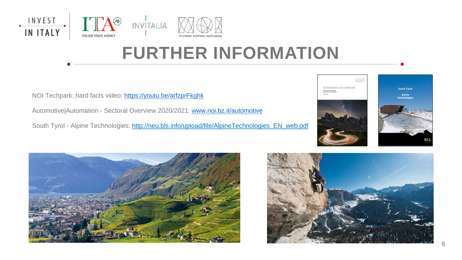

NOI Techpark: hard facts video: <https://youtu.be/arfzprFkghk> Automotive|Automation - Sectoral Overview 2020/2021: [www.noi.bz.it/automotive](http://www.noi.bz.it/automotive) South Tyrol - Alpine Technologies: [http://neu.bls.info/upload/file/AlpineTechnologies\\_EN\\_web.pdf](http://neu.bls.info/upload/file/AlpineTechnologies_EN_web.pdf)